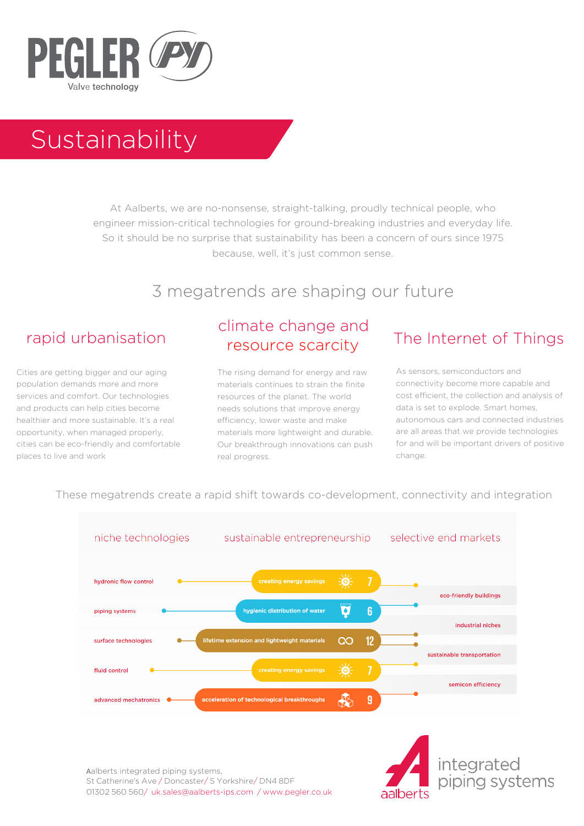

# Sustainability

At Aalberts, we are no-nonsense, straight-talking, proudly technical people, who engineer mission-critical technologies for ground-breaking industries and everyday life. So it should be no surprise that sustainability has been a concern of ours since 1975 because, well, it's just common sense.

# 3 megatrends are shaping our future

Cities are getting bigger and our aging population demands more and more services and comfort. Our technologies and products can help cities become healthier and more sustainable. It's a real opportunity, when managed properly, cities can be eco-friendly and comfortable places to live and work

# climate change and resource scarcity

The rising demand for energy and raw materials continues to strain the finite resources of the planet. The world needs solutions that improve energy efficiency, lower waste and make materials more lightweight and durable. Our breakthrough innovations can push real progress.

# rapid urbanisation The Internet of Things

As sensors, semiconductors and connectivity become more capable and cost efficient, the collection and analysis of data is set to explode. Smart homes, autonomous cars and connected industries are all areas that we provide technologies for and will be important drivers of positive change.

#### These megatrends create a rapid shift towards co-development, connectivity and integration



Aalberts integrated piping systems, St Catherine's Ave / Doncaster/ S Yorkshire/ DN4 8DF 01302 560 560/ [uk.sales@aalberts-ips.co](mailto:uk.sales@aalberts-ips.com)[m / www.pe](http://www.pegler.co.uk/)gler.co.uk

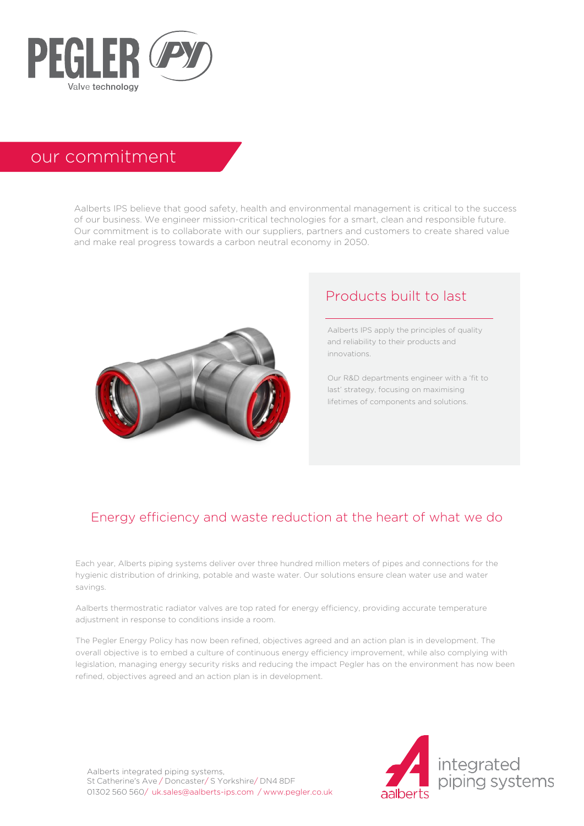

# our commitment

Aalberts IPS believe that good safety, health and environmental management is critical to the success of our business. We engineer mission-critical technologies for a smart, clean and responsible future. Our commitment is to collaborate with our suppliers, partners and customers to create shared value and make real progress towards a carbon neutral economy in 2050.



# Products built to last

Aalberts IPS apply the principles of quality and reliability to their products and innovations.

Our R&D departments engineer with a 'fit to last' strategy, focusing on maximising lifetimes of components and solutions.

#### Energy efficiency and waste reduction at the heart of what we do

Each year, Alberts piping systems deliver over three hundred million meters of pipes and connections for the hygienic distribution of drinking, potable and waste water. Our solutions ensure clean water use and water savings.

Aalberts thermostratic radiator valves are top rated for energy efficiency, providing accurate temperature adjustment in response to conditions inside a room.

The Pegler Energy Policy has now been refined, objectives agreed and an action plan is in development. The overall objective is to embed a culture of continuous energy efficiency improvement, while also complying with legislation, managing energy security risks and reducing the impact Pegler has on the environment has now been refined, objectives agreed and an action plan is in development.

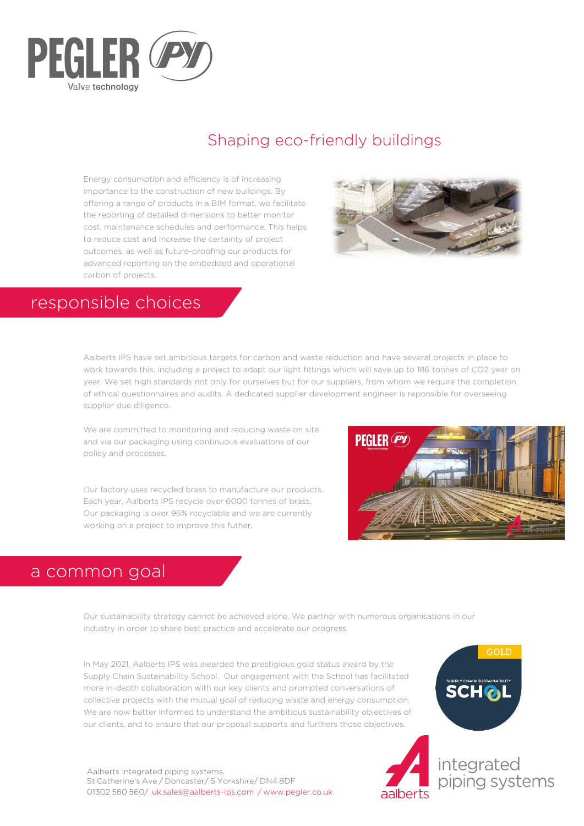

# Shaping eco-friendly buildings

Energy consumption and efficiency is of increasing importance to the construction of new buildings. By offering a range of products in a BIM format, we facilitate the reporting of detailed dimensions to better monitor cost, maintenance schedules and performance. This helps to reduce cost and increase the certainty of project outcomes, as well as future-proofing our products for advanced reporting on the embedded and operational carbon of projects.



# responsible choices

Aalberts IPS have set ambitious targets for carbon and waste reduction and have several projects in place to work towards this, including a project to adapt our light fittings which will save up to 186 tonnes of CO2 year on year. We set high standards not only for ourselves but for our suppliers, from whom we require the completion of ethical questionnaires and audits. A dedicated supplier development engineer is reponsible for overseeing supplier due diligence.

We are committed to monitoring and reducing waste on site and via our packaging using continuous evaluations of our policy and processes.

Our factory uses recycled brass to manufacture our products. Each year, Aalberts IPS recycle over 6000 tonnes of brass. Our packaging is over 96% recyclable and we are currently working on a project to improve this futher.



# a common goal

Our sustainability strategy cannot be achieved alone. We partner with numerous organisations in our industry in order to share best practice and accelerate our progress.

In May 2021, Aalberts IPS was awarded the prestigious gold status award by the Supply Chain Sustainability School. Our engagement with the School has facilitated more in-depth collaboration with our key clients and prompted conversations of collective projects with the mutual goal of reducing waste and energy consumption. We are now better informed to understand the ambitious sustainability objectives of our clients, and to ensure that our proposal supports and furthers those objectives.

Aalberts integrated piping systems, St Catherine's Ave / Doncaster/ S Yorkshire/ DN4 8DF 01302 560 560/ [uk.sales@aalberts-ips.co](mailto:uk.sales@aalberts-ips.com)[m / www.p](http://www.pegler.co.uk/)egler.co.uk

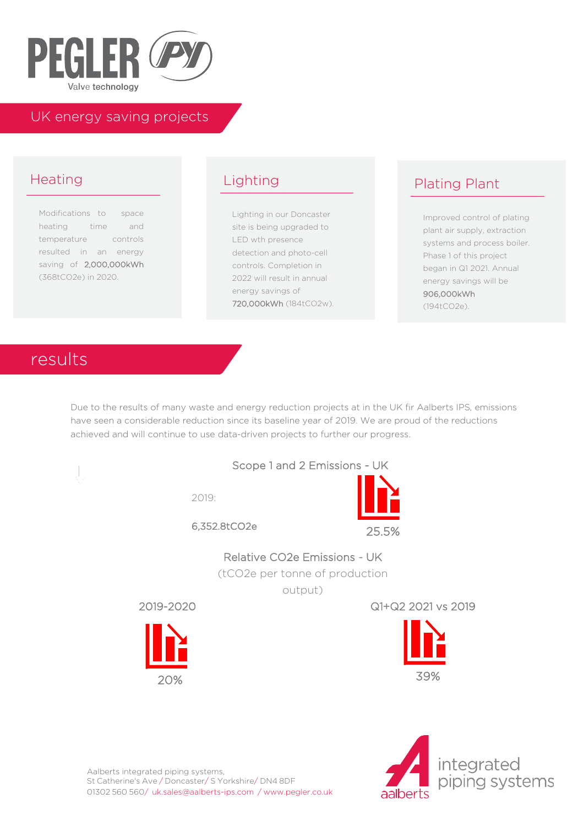

#### UK energy saving projects

# Heating

Modifications to space heating time and temperature controls resulted in an energy saving of 2,000,000kWh (368tCO2e) in 2020.

# Lighting

Lighting in our Doncaster site is being upgraded to LED wth presence detection and photo-cell controls. Completion in 2022 will result in annual energy savings of 720,000kWh (184tCO2w).

# Plating Plant

Improved control of plating plant air supply, extraction systems and process boiler. Phase 1 of this project began in Q1 2021. Annual energy savings will be 906,000kWh (194tCO2e).

# results

Due to the results of many waste and energy reduction projects at in the UK fir Aalberts IPS, emissions have seen a considerable reduction since its baseline year of 2019. We are proud of the reductions achieved and will continue to use data-driven projects to further our progress.



2019:



6,352.8tCO2e



Relative CO2e Emissions - UK

(tCO2e per tonne of production

output)



2019-2020 Q1+Q2 2021 vs 2019